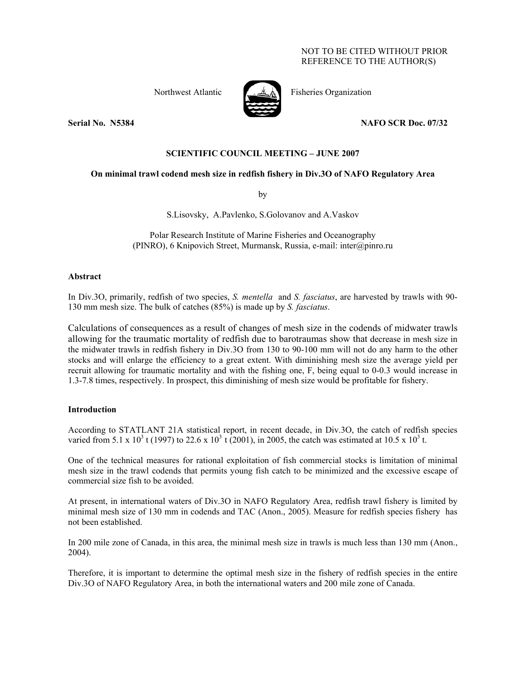# NOT TO BE CITED WITHOUT PRIOR REFERENCE TO THE AUTHOR(S)



Northwest Atlantic Fisheries Organization

**Serial No. N5384 NAFO SCR Doc. 07/32** 

# **SCIENTIFIC COUNCIL MEETING – JUNE 2007**

# **On minimal trawl codend mesh size in redfish fishery in Div.3O of NAFO Regulatory Area**

by

S.Lisovsky, A.Pavlenko, S.Golovanov and A.Vaskov

Polar Research Institute of Marine Fisheries and Oceanography (PINRO), 6 Knipovich Street, Murmansk, Russia, e-mail: inter@pinro.ru

## **Abstract**

In Div.3O, primarily, redfish of two species, *S. mentella* and *S. fasciatus*, are harvested by trawls with 90- 130 mm mesh size. The bulk of catches (85%) is made up by *S. fasciatus*.

Calculations of consequences as a result of changes of mesh size in the codends of midwater trawls allowing for the traumatic mortality of redfish due to barotraumas show that decrease in mesh size in the midwater trawls in redfish fishery in Div.3O from 130 to 90-100 mm will not do any harm to the other stocks and will enlarge the efficiency to a great extent. With diminishing mesh size the average yield per recruit allowing for traumatic mortality and with the fishing one, F, being equal to 0-0.3 would increase in 1.3-7.8 times, respectively. In prospect, this diminishing of mesh size would be profitable for fishery.

# **Introduction**

According to STATLANT 21A statistical report, in recent decade, in Div.3O, the catch of redfish species varied from 5.1 x 10<sup>3</sup> t (1997) to 22.6 x 10<sup>3</sup> t (2001), in 2005, the catch was estimated at 10.5 x 10<sup>3</sup> t.

One of the technical measures for rational exploitation of fish commercial stocks is limitation of minimal mesh size in the trawl codends that permits young fish catch to be minimized and the excessive escape of commercial size fish to be avoided.

At present, in international waters of Div.3O in NAFO Regulatory Area, redfish trawl fishery is limited by minimal mesh size of 130 mm in codends and TAC (Anon., 2005). Measure for redfish species fishery has not been established.

In 200 mile zone of Canada, in this area, the minimal mesh size in trawls is much less than 130 mm (Anon., 2004).

Therefore, it is important to determine the optimal mesh size in the fishery of redfish species in the entire Div.3O of NAFO Regulatory Area, in both the international waters and 200 mile zone of Canada.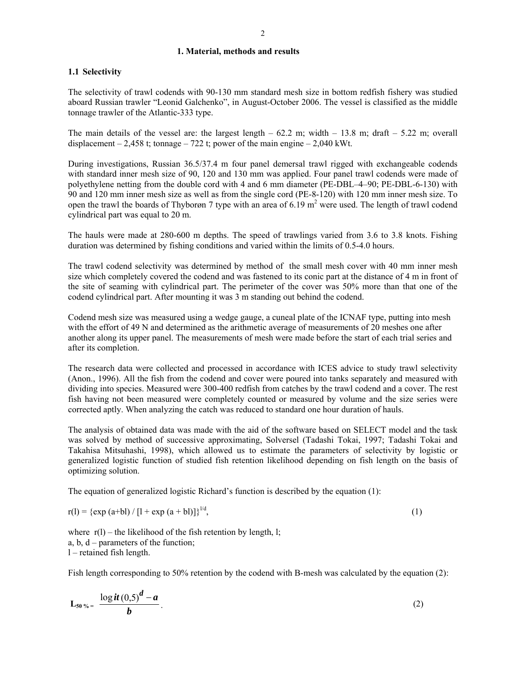#### **1. Material, methods and results**

## **1.1 Selectivity**

The selectivity of trawl codends with 90-130 mm standard mesh size in bottom redfish fishery was studied aboard Russian trawler "Leonid Galchenko", in August-October 2006. The vessel is classified as the middle tonnage trawler of the Atlantic-333 type.

The main details of the vessel are: the largest length  $-62.2$  m; width  $-13.8$  m; draft  $-5.22$  m; overall displacement  $-2,458$  t; tonnage  $-722$  t; power of the main engine  $-2,040$  kWt.

During investigations, Russian 36.5/37.4 m four panel demersal trawl rigged with exchangeable codends with standard inner mesh size of 90, 120 and 130 mm was applied. Four panel trawl codends were made of polyethylene netting from the double cord with 4 and 6 mm diameter (PE-DBL–4–90; PE-DBL-6-130) with 90 and 120 mm inner mesh size as well as from the single cord (PE-8-120) with 120 mm inner mesh size. To open the trawl the boards of Thyborøn 7 type with an area of 6.19  $m<sup>2</sup>$  were used. The length of trawl codend cylindrical part was equal to 20 m.

The hauls were made at 280-600 m depths. The speed of trawlings varied from 3.6 to 3.8 knots. Fishing duration was determined by fishing conditions and varied within the limits of 0.5-4.0 hours.

The trawl codend selectivity was determined by method of the small mesh cover with 40 mm inner mesh size which completely covered the codend and was fastened to its conic part at the distance of 4 m in front of the site of seaming with cylindrical part. The perimeter of the cover was 50% more than that one of the codend cylindrical part. After mounting it was 3 m standing out behind the codend.

Codend mesh size was measured using a wedge gauge, a cuneal plate of the ICNAF type, putting into mesh with the effort of 49 N and determined as the arithmetic average of measurements of 20 meshes one after another along its upper panel. The measurements of mesh were made before the start of each trial series and after its completion.

The research data were collected and processed in accordance with ICES advice to study trawl selectivity (Anon., 1996). All the fish from the codend and cover were poured into tanks separately and measured with dividing into species. Measured were 300-400 redfish from catches by the trawl codend and a cover. The rest fish having not been measured were completely counted or measured by volume and the size series were corrected aptly. When analyzing the catch was reduced to standard one hour duration of hauls.

The analysis of obtained data was made with the aid of the software based on SELECT model and the task was solved by method of successive approximating, Solversel (Tadashi Tokai, 1997; Tadashi Tokai and Takahisa Mitsuhashi, 1998), which allowed us to estimate the parameters of selectivity by logistic or generalized logistic function of studied fish retention likelihood depending on fish length on the basis of optimizing solution.

The equation of generalized logistic Richard's function is described by the equation (1):

$$
r(l) = {exp (a+bl) / [l + exp (a+bl)]}^{1/d},
$$
\n(1)

where  $r(1)$  – the likelihood of the fish retention by length, l; a, b, d – parameters of the function; l – retained fish length.

Fish length corresponding to 50% retention by the codend with B-mesh was calculated by the equation (2):

$$
L_{50\%} = \frac{\log it (0.5)^d - a}{b} \, . \tag{2}
$$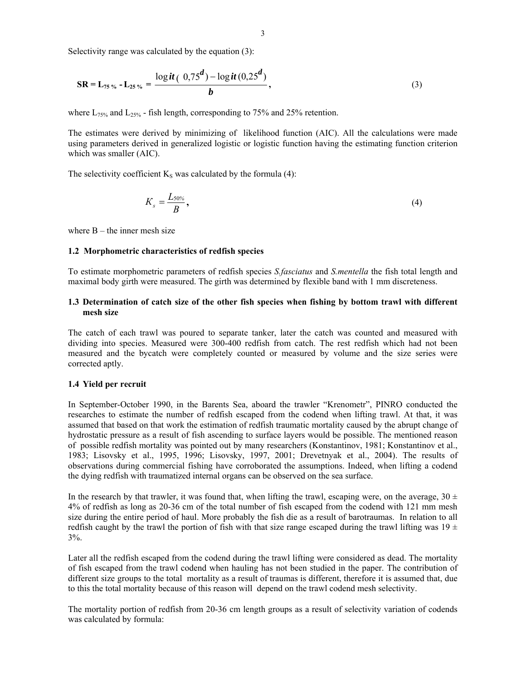Selectivity range was calculated by the equation (3):

$$
SR = L_{75\%} - L_{25\%} = \frac{\log it\ (0.75^d) - \log it\ (0.25^d)}{b},\tag{3}
$$

where  $L_{75\%}$  and  $L_{25\%}$  - fish length, corresponding to 75% and 25% retention.

The estimates were derived by minimizing of likelihood function (AIC). All the calculations were made using parameters derived in generalized logistic or logistic function having the estimating function criterion which was smaller (AIC).

The selectivity coefficient  $K<sub>S</sub>$  was calculated by the formula (4):

$$
K_s = \frac{L_{50\%}}{B},\tag{4}
$$

where  $B$  – the inner mesh size

#### **1.2 Morphometric characteristics of redfish species**

To estimate morphometric parameters of redfish species *S.fasciatus* and *S.mentella* the fish total length and maximal body girth were measured. The girth was determined by flexible band with 1 mm discreteness.

## **1.3 Determination of catch size of the other fish species when fishing by bottom trawl with different mesh size**

The catch of each trawl was poured to separate tanker, later the catch was counted and measured with dividing into species. Measured were 300-400 redfish from catch. The rest redfish which had not been measured and the bycatch were completely counted or measured by volume and the size series were corrected aptly.

#### **1.4 Yield per recruit**

In September-October 1990, in the Barents Sea, aboard the trawler "Krenometr", PINRO conducted the researches to estimate the number of redfish escaped from the codend when lifting trawl. At that, it was assumed that based on that work the estimation of redfish traumatic mortality caused by the abrupt change of hydrostatic pressure as a result of fish ascending to surface layers would be possible. The mentioned reason of possible redfish mortality was pointed out by many researchers (Konstantinov, 1981; Konstantinov et al., 1983; Lisovsky et al., 1995, 1996; Lisovsky, 1997, 2001; Drevetnyak et al., 2004). The results of observations during commercial fishing have corroborated the assumptions. Indeed, when lifting a codend the dying redfish with traumatized internal organs can be observed on the sea surface.

In the research by that trawler, it was found that, when lifting the trawl, escaping were, on the average,  $30 \pm$ 4% of redfish as long as 20-36 cm of the total number of fish escaped from the codend with 121 mm mesh size during the entire period of haul. More probably the fish die as a result of barotraumas. In relation to all redfish caught by the trawl the portion of fish with that size range escaped during the trawl lifting was  $19 \pm$ 3%.

Later all the redfish escaped from the codend during the trawl lifting were considered as dead. The mortality of fish escaped from the trawl codend when hauling has not been studied in the paper. The contribution of different size groups to the total mortality as a result of traumas is different, therefore it is assumed that, due to this the total mortality because of this reason will depend on the trawl codend mesh selectivity.

The mortality portion of redfish from 20-36 cm length groups as a result of selectivity variation of codends was calculated by formula: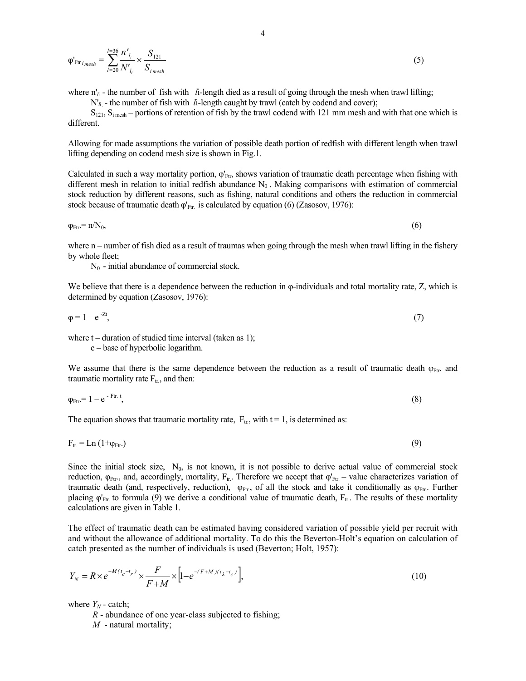$$
\varphi'_{Ftr_{\text{ }imesh}} = \sum_{l=20}^{l=36} \frac{n'_{l_i}}{N'_{l_i}} \times \frac{S_{121}}{S_{\text{ }imesh}}
$$
\n
$$
\tag{5}
$$

where  $n'_{\parallel i}$  - the number of fish with *l*i-length died as a result of going through the mesh when trawl lifting;

N'<sub>*l*i</sub> - the number of fish with *l*i-length caught by trawl (catch by codend and cover);

 $S<sub>121</sub>, S<sub>i</sub>$  mesh – portions of retention of fish by the trawl codend with 121 mm mesh and with that one which is different.

Allowing for made assumptions the variation of possible death portion of redfish with different length when trawl lifting depending on codend mesh size is shown in Fig.1.

Calculated in such a way mortality portion,  $\varphi_{\text{Ftr}}$ , shows variation of traumatic death percentage when fishing with different mesh in relation to initial redfish abundance  $N_0$ . Making comparisons with estimation of commercial stock reduction by different reasons, such as fishing, natural conditions and others the reduction in commercial stock because of traumatic death  $\varphi'_{Ftr}$  is calculated by equation (6) (Zasosov, 1976):

$$
\varphi_{\text{Ftr}} = n/N_0,\tag{6}
$$

where  $n -$  number of fish died as a result of traumas when going through the mesh when trawl lifting in the fishery by whole fleet;

 $N_0$  - initial abundance of commercial stock.

We believe that there is a dependence between the reduction in φ-individuals and total mortality rate, Z, which is determined by equation (Zasosov, 1976):

$$
\varphi = 1 - e^{-2t},\tag{7}
$$

where  $t$  – duration of studied time interval (taken as 1);

e – base of hyperbolic logarithm.

We assume that there is the same dependence between the reduction as a result of traumatic death  $\varphi$ <sub>Ftr</sub>. and traumatic mortality rate  $F_{tr}$ , and then:

$$
\varphi_{\text{Ftr}} = 1 - e^{-\text{Ftr. t}},\tag{8}
$$

The equation shows that traumatic mortality rate,  $F_{tr}$ , with  $t = 1$ , is determined as:

$$
F_{tr} = Ln (1 + \varphi_{Ftr.})
$$
\n(9)

Since the initial stock size,  $N_0$ , is not known, it is not possible to derive actual value of commercial stock reduction,  $\varphi_{Ftr}$ , and, accordingly, mortality,  $F_{tr}$ . Therefore we accept that  $\varphi'_{Ftr}$  – value characterizes variation of traumatic death (and, respectively, reduction),  $\varphi_{Ftr}$ , of all the stock and take it conditionally as  $\varphi_{Ftr}$ . Further placing  $\varphi_{Ftr}$  to formula (9) we derive a conditional value of traumatic death,  $F_{tr}$ . The results of these mortality calculations are given in Table 1.

The effect of traumatic death can be estimated having considered variation of possible yield per recruit with and without the allowance of additional mortality. To do this the Beverton-Holt's equation on calculation of catch presented as the number of individuals is used (Beverton; Holt, 1957):

$$
Y_N = R \times e^{-M(t_c - t_r)} \times \frac{F}{F + M} \times \left[1 - e^{-(F + M)(t_\lambda - t_c)}\right],\tag{10}
$$

where  $Y_N$  - catch;

*R* - abundance of one year-class subjected to fishing;

*М* - natural mortality;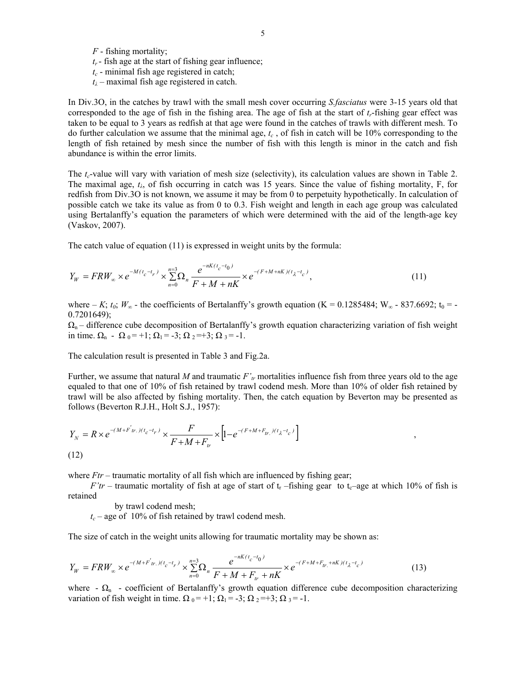*F* - fishing mortality;

- $t_r$  fish age at the start of fishing gear influence;
- $t_c$  minimal fish age registered in catch;
- *tλ* maximal fish age registered in catch.

In Div.3O, in the catches by trawl with the small mesh cover occurring *S.fasciatus* were 3-15 years old that corresponded to the age of fish in the fishing area. The age of fish at the start of *tr*-fishing gear effect was taken to be equal to 3 years as redfish at that age were found in the catches of trawls with different mesh. To do further calculation we assume that the minimal age,  $t_c$ , of fish in catch will be 10% corresponding to the length of fish retained by mesh since the number of fish with this length is minor in the catch and fish abundance is within the error limits.

The *t<sub>c</sub>*-value will vary with variation of mesh size (selectivity), its calculation values are shown in Table 2. The maximal age, *tλ*, of fish occurring in catch was 15 years. Since the value of fishing mortality, F, for redfish from Div.3O is not known, we assume it may be from 0 to perpetuity hypothetically. In calculation of possible catch we take its value as from 0 to 0.3. Fish weight and length in each age group was calculated using Bertalanffy's equation the parameters of which were determined with the aid of the length-age key (Vaskov, 2007).

The catch value of equation (11) is expressed in weight units by the formula:

$$
Y_W = FRW_{\infty} \times e^{-M(t_c - t_r)} \times \sum_{n=0}^{n=3} \Omega_n \frac{e^{-nK(t_c - t_0)}}{F + M + nK} \times e^{-(F + M + nK)(t_\lambda - t_c)},
$$
\n(11)

where – *K*;  $t_0$ ;  $W_\infty$  - the coefficients of Bertalanffy's growth equation (K = 0.1285484; W<sub>∞</sub> - 837.6692; t<sub>0</sub> = - $0.7201649$ ;

 $\Omega_n$  – difference cube decomposition of Bertalanffy's growth equation characterizing variation of fish weight in time.  $\Omega_n - \Omega_0 = +1$ ;  $\Omega_1 = -3$ ;  $\Omega_2 = +3$ ;  $\Omega_3 = -1$ .

The calculation result is presented in Table 3 and Fig.2a.

Further, we assume that natural M and traumatic  $F'_{tr}$  mortalities influence fish from three years old to the age equaled to that one of 10% of fish retained by trawl codend mesh. More than 10% of older fish retained by trawl will be also affected by fishing mortality. Then, the catch equation by Beverton may be presented as follows (Beverton R.J.H., Holt S.J., 1957):

$$
Y_N = R \times e^{-(M+F_{tr.})(t_c - t_r)} \times \frac{F}{F + M + F_{tr.}} \times \left[1 - e^{-(F + M + F_{tr.})(t_\lambda - t_c)}\right],
$$
\n(12)

where *Ftr* – traumatic mortality of all fish which are influenced by fishing gear;

*F'tr* – traumatic mortality of fish at age of start of  $t_r$  –fishing gear to  $t_c$ –age at which 10% of fish is retained

by trawl codend mesh;

 $t_c$  – age of 10% of fish retained by trawl codend mesh.

The size of catch in the weight units allowing for traumatic mortality may be shown as:

$$
Y_W = FRW_{\infty} \times e^{-(M+F_{tr.})(t_c - t_r)} \times \sum_{n=0}^{n=3} \Omega_n \frac{e^{-nK(t_c - t_0)}}{F + M + F_{tr.} + nK} \times e^{-(F + M + F_{tr.} + nK)(t_{\lambda} - t_c)}
$$
(13)

where  $\cdot \Omega_n$  - coefficient of Bertalanffy's growth equation difference cube decomposition characterizing variation of fish weight in time.  $\Omega_0 = +1$ ;  $\Omega_1 = -3$ ;  $\Omega_2 = +3$ ;  $\Omega_3 = -1$ .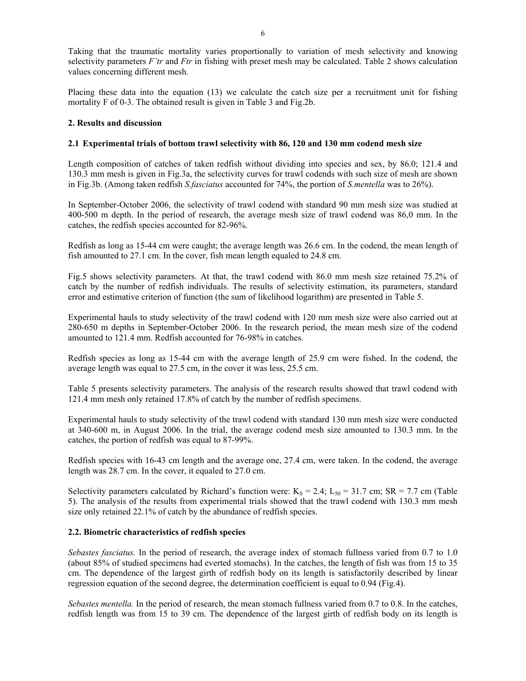Taking that the traumatic mortality varies proportionally to variation of mesh selectivity and knowing selectivity parameters *F'tr* and *Ftr* in fishing with preset mesh may be calculated. Table 2 shows calculation values concerning different mesh.

Placing these data into the equation (13) we calculate the catch size per a recruitment unit for fishing mortality F of 0-3. The obtained result is given in Table 3 and Fig.2b.

## **2. Results and discussion**

## **2.1 Experimental trials of bottom trawl selectivity with 86, 120 and 130 mm codend mesh size**

Length composition of catches of taken redfish without dividing into species and sex, by 86.0; 121.4 and 130.3 mm mesh is given in Fig.3a, the selectivity curves for trawl codends with such size of mesh are shown in Fig.3b. (Among taken redfish *S.fasciatus* accounted for 74%, the portion of *S.mentella* was to 26%).

In September-October 2006, the selectivity of trawl codend with standard 90 mm mesh size was studied at 400-500 m depth. In the period of research, the average mesh size of trawl codend was 86,0 mm. In the catches, the redfish species accounted for 82-96%.

Redfish as long as 15-44 cm were caught; the average length was 26.6 cm. In the codend, the mean length of fish amounted to 27.1 cm. In the cover, fish mean length equaled to 24.8 cm.

Fig.5 shows selectivity parameters. At that, the trawl codend with 86.0 mm mesh size retained 75.2% of catch by the number of redfish individuals. The results of selectivity estimation, its parameters, standard error and estimative criterion of function (the sum of likelihood logarithm) are presented in Table 5.

Experimental hauls to study selectivity of the trawl codend with 120 mm mesh size were also carried out at 280-650 m depths in September-October 2006. In the research period, the mean mesh size of the codend amounted to 121.4 mm. Redfish accounted for 76-98% in catches.

Redfish species as long as 15-44 cm with the average length of 25.9 cm were fished. In the codend, the average length was equal to 27.5 cm, in the cover it was less, 25.5 cm.

Table 5 presents selectivity parameters. The analysis of the research results showed that trawl codend with 121.4 mm mesh only retained 17.8% of catch by the number of redfish specimens.

Experimental hauls to study selectivity of the trawl codend with standard 130 mm mesh size were conducted at 340-600 m, in August 2006. In the trial, the average codend mesh size amounted to 130.3 mm. In the catches, the portion of redfish was equal to 87-99%.

Redfish species with 16-43 cm length and the average one, 27.4 cm, were taken. In the codend, the average length was 28.7 cm. In the cover, it equaled to 27.0 cm.

Selectivity parameters calculated by Richard's function were:  $K_S = 2.4$ ;  $L_{50} = 31.7$  cm; SR = 7.7 cm (Table 5). The analysis of the results from experimental trials showed that the trawl codend with 130.3 mm mesh size only retained 22.1% of catch by the abundance of redfish species.

#### **2.2. Biometric characteristics of redfish species**

*Sebastes fasciatus.* In the period of research, the average index of stomach fullness varied from 0.7 to 1.0 (about 85% of studied specimens had everted stomachs). In the catches, the length of fish was from 15 to 35 cm. The dependence of the largest girth of redfish body on its length is satisfactorily described by linear regression equation of the second degree, the determination coefficient is equal to 0.94 (Fig.4).

*Sebastes mentella.* In the period of research, the mean stomach fullness varied from 0.7 to 0.8. In the catches, redfish length was from 15 to 39 cm. The dependence of the largest girth of redfish body on its length is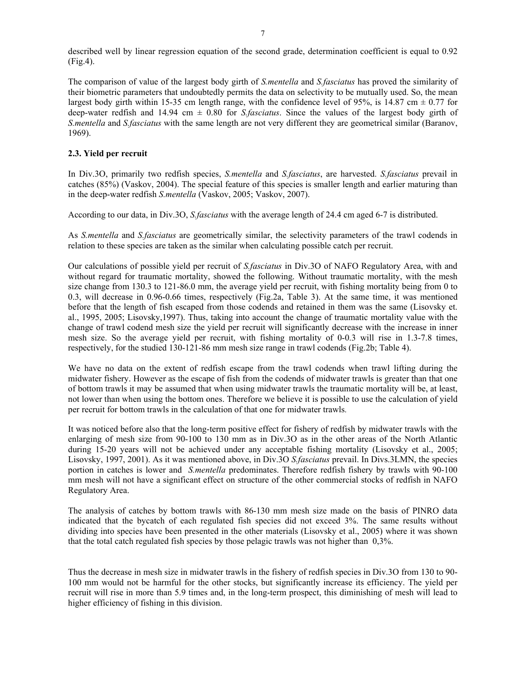described well by linear regression equation of the second grade, determination coefficient is equal to 0.92 (Fig.4).

The comparison of value of the largest body girth of *S.mentella* and *S.fasciatus* has proved the similarity of their biometric parameters that undoubtedly permits the data on selectivity to be mutually used. So, the mean largest body girth within 15-35 cm length range, with the confidence level of 95%, is 14.87 cm  $\pm$  0.77 for deep-water redfish and 14.94 cm ± 0.80 for *S.fasciatus*. Since the values of the largest body girth of *S.mentella* and *S.fasciatus* with the same length are not very different they are geometrical similar (Baranov, 1969).

# **2.3. Yield per recruit**

In Div.3O, primarily two redfish species, *S.mentella* and *S.fasciatus*, are harvested. *S.fasciatus* prevail in catches (85%) (Vaskov, 2004). The special feature of this species is smaller length and earlier maturing than in the deep-water redfish *S.mentella* (Vaskov, 2005; Vaskov, 2007).

According to our data, in Div.3O, *S.fasciatus* with the average length of 24.4 cm aged 6-7 is distributed.

As *S.mentella* and *S.fasciatus* are geometrically similar, the selectivity parameters of the trawl codends in relation to these species are taken as the similar when calculating possible catch per recruit.

Our calculations of possible yield per recruit of *S.fasciatus* in Div.3O of NAFO Regulatory Area, with and without regard for traumatic mortality, showed the following. Without traumatic mortality, with the mesh size change from 130.3 to 121-86.0 mm, the average yield per recruit, with fishing mortality being from 0 to 0.3, will decrease in 0.96-0.66 times, respectively (Fig.2a, Table 3). At the same time, it was mentioned before that the length of fish escaped from those codends and retained in them was the same (Lisovsky et. al., 1995, 2005; Lisovsky,1997). Thus, taking into account the change of traumatic mortality value with the change of trawl codend mesh size the yield per recruit will significantly decrease with the increase in inner mesh size. So the average yield per recruit, with fishing mortality of 0-0.3 will rise in 1.3-7.8 times, respectively, for the studied 130-121-86 mm mesh size range in trawl codends (Fig.2b; Table 4).

We have no data on the extent of redfish escape from the trawl codends when trawl lifting during the midwater fishery. However as the escape of fish from the codends of midwater trawls is greater than that one of bottom trawls it may be assumed that when using midwater trawls the traumatic mortality will be, at least, not lower than when using the bottom ones. Therefore we believe it is possible to use the calculation of yield per recruit for bottom trawls in the calculation of that one for midwater trawls.

It was noticed before also that the long-term positive effect for fishery of redfish by midwater trawls with the enlarging of mesh size from 90-100 to 130 mm as in Div.3O as in the other areas of the North Atlantic during 15-20 years will not be achieved under any acceptable fishing mortality (Lisovsky et al., 2005; Lisovsky, 1997, 2001). As it was mentioned above, in Div.3O *S.fasciatus* prevail. In Divs.3LMN, the species portion in catches is lower and *S.mentella* predominates. Therefore redfish fishery by trawls with 90-100 mm mesh will not have a significant effect on structure of the other commercial stocks of redfish in NAFO Regulatory Area.

The analysis of catches by bottom trawls with 86-130 mm mesh size made on the basis of PINRO data indicated that the bycatch of each regulated fish species did not exceed 3%. The same results without dividing into species have been presented in the other materials (Lisovsky et al., 2005) where it was shown that the total catch regulated fish species by those pelagic trawls was not higher than 0,3%.

Thus the decrease in mesh size in midwater trawls in the fishery of redfish species in Div.3O from 130 to 90- 100 mm would not be harmful for the other stocks, but significantly increase its efficiency. The yield per recruit will rise in more than 5.9 times and, in the long-term prospect, this diminishing of mesh will lead to higher efficiency of fishing in this division.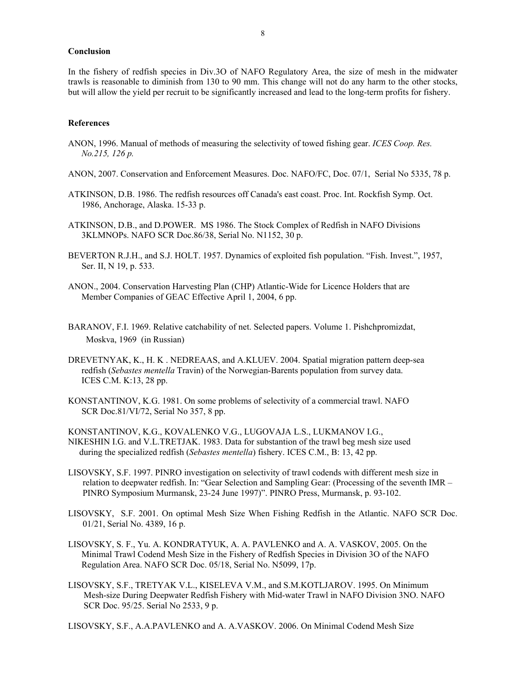### **Conclusion**

In the fishery of redfish species in Div.3O of NAFO Regulatory Area, the size of mesh in the midwater trawls is reasonable to diminish from 130 to 90 mm. This change will not do any harm to the other stocks, but will allow the yield per recruit to be significantly increased and lead to the long-term profits for fishery.

### **References**

- ANON, 1996. Manual of methods of measuring the selectivity of towed fishing gear. *ICES Coop. Res. No.215, 126 p.*
- ANON, 2007. Conservation and Enforcement Measures. Doc. NAFO/FC, Doc. 07/1, Serial No 5335, 78 p.
- ATKINSON, D.B. 1986. The redfish resources off Canada's east coast. Proc. Int. Rockfish Symp. Oct. 1986, Anchorage, Alaska. 15-33 p.
- ATKINSON, D.B., and D.POWER. MS 1986. The Stock Complex of Redfish in NAFO Divisions 3KLMNOPs. NAFO SCR Doc.86/38, Serial No. N1152, 30 p.
- BEVERTON R.J.H., and S.J. HOLT. 1957. Dynamics of exploited fish population. "Fish. Invest.", 1957, Ser. II, N 19, p. 533.
- ANON., 2004. Conservation Harvesting Plan (CHP) Atlantic-Wide for Licence Holders that are Member Companies of GEAC Effective April 1, 2004, 6 pp.
- BARANOV, F.I. 1969. Relative catchability of net. Selected papers. Volume 1. Pishchpromizdat, Moskva, 1969 (in Russian)
- DREVETNYAK, K., H. K . NEDREAAS, and A.KLUEV. 2004. Spatial migration pattern deep-sea redfish (*Sebastes mentella* Travin) of the Norwegian-Barents population from survey data. ICES C.M. K:13, 28 pp.
- KONSTANTINOV, K.G. 1981. On some problems of selectivity of a commercial trawl. NAFO SCR Doc.81/VI/72, Serial No 357, 8 pp.

KONSTANTINOV, K.G., KOVALENKO V.G., LUGOVAJA L.S., LUKMANOV I.G., NIKESHIN I.G. and V.L.TRETJAK. 1983. Data for substantion of the trawl beg mesh size used during the specialized redfish (*Sebastes mentella*) fishery. ICES C.M., B: 13, 42 pp.

- LISOVSKY, S.F. 1997. PINRO investigation on selectivity of trawl codends with different mesh size in relation to deepwater redfish. In: "Gear Selection and Sampling Gear: (Processing of the seventh IMR – PINRO Symposium Murmansk, 23-24 June 1997)". PINRO Press, Murmansk, p. 93-102.
- LISOVSKY, S.F. 2001. On optimal Mesh Size When Fishing Redfish in the Atlantic. NAFO SCR Doc. 01/21, Serial No. 4389, 16 p.
- LISOVSKY, S. F., Yu. A. KONDRATYUK, A. A. PAVLENKO and A. A. VASKOV, 2005. On the Minimal Trawl Codend Mesh Size in the Fishery of Redfish Species in Division 3O of the NAFO Regulation Area. NAFO SCR Doc. 05/18, Serial No. N5099, 17р.
- LISOVSKY, S.F., TRETYAK V.L., KISELEVA V.M., and S.M.KOTLJAROV. 1995. On Minimum Mesh-size During Deepwater Redfish Fishery with Mid-water Trawl in NAFO Division 3NO. NAFO SCR Doc. 95/25. Serial No 2533, 9 p.

LISOVSKY, S.F., A.A.PAVLENKO and A. A.VASKOV. 2006. On Minimal Codend Mesh Size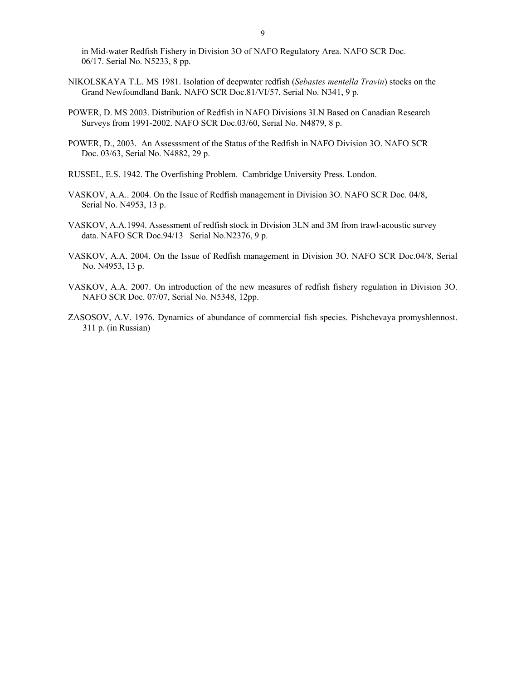in Mid-water Redfish Fishery in Division 3O of NAFO Regulatory Area. NAFO SCR Doc. 06/17. Serial No. N5233, 8 pp.

- NIKOLSKAYA T.L. MS 1981. Isolation of deepwater redfish (*Sebastes mentella Travin*) stocks on the Grand Newfoundland Bank. NAFO SCR Doc.81/VI/57, Serial No. N341, 9 p.
- POWER, D. MS 2003. Distribution of Redfish in NAFO Divisions 3LN Based on Canadian Research Surveys from 1991-2002. NAFO SCR Doc.03/60, Serial No. N4879, 8 p.
- POWER, D., 2003. An Assesssment of the Status of the Redfish in NAFO Division 3O. NAFO SCR Doc. 03/63, Serial No. N4882, 29 p.
- RUSSEL, E.S. 1942. The Overfishing Problem.Cambridge University Press. London.
- VASKOV, A.A.. 2004. On the Issue of Redfish management in Division 3O. NAFO SCR Doc. 04/8, Serial No. N4953, 13 p.
- VASKOV, A.A.1994. Assessment of redfish stock in Division 3LN and 3M from trawl-acoustic survey data. NAFO SCR Doc.94/13 Serial No.N2376, 9 p.
- VASKOV, A.A. 2004. On the Issue of Redfish management in Division 3O. NAFO SCR Doc.04/8, Serial No. N4953, 13 p.
- VASKOV, A.A. 2007. On introduction of the new measures of redfish fishery regulation in Division 3O. NAFO SCR Doc. 07/07, Serial No. N5348, 12pp.
- ZASOSOV, A.V. 1976. Dynamics of abundance of commercial fish species. Pishchevaya promyshlennost. 311 p. (in Russian)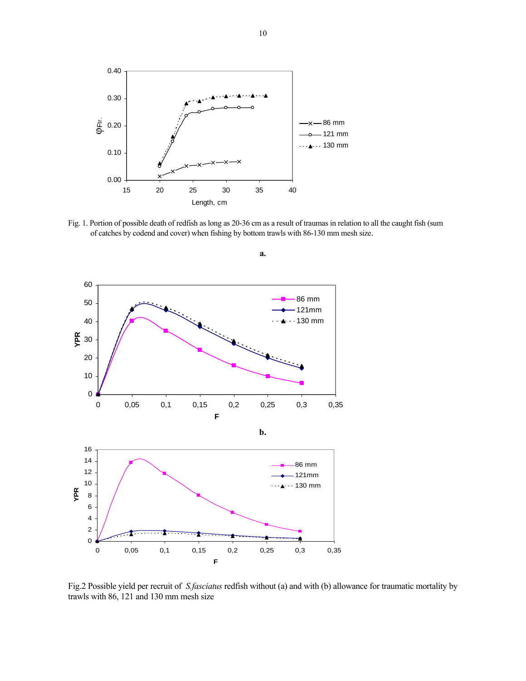

Fig. 1. Portion of possible death of redfish as long as 20-36 cm as a result of traumas in relation to all the caught fish (sum of catches by codend and cover) when fishing by bottom trawls with 86-130 mm mesh size.



Fig.2 Possible yield per recruit of *S.fasciatus* redfish without (a) and with (b) allowance for traumatic mortality by trawls with 86, 121 and 130 mm mesh size

**a.**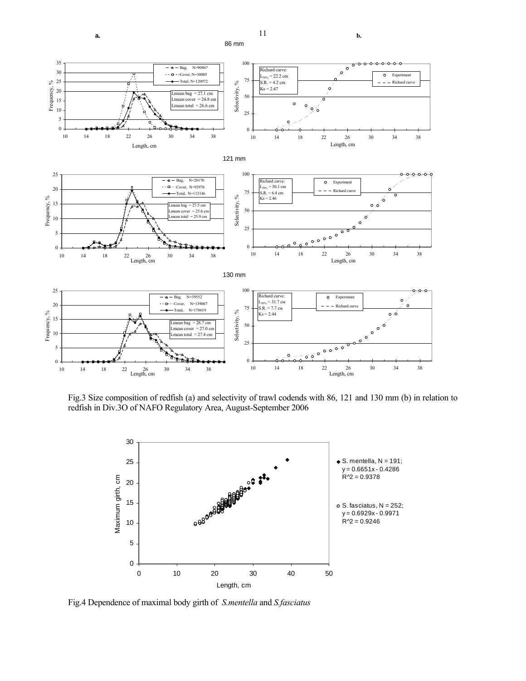

Fig.3 Size composition of redfish (a) and selectivity of trawl codends with 86, 121 and 130 mm (b) in relation to redfish in Div.3O of NAFO Regulatory Area, August-September 2006



Fig.4 Dependence of maximal body girth of *S.mentella* and *S.fasciatus* 

11 **a. b.**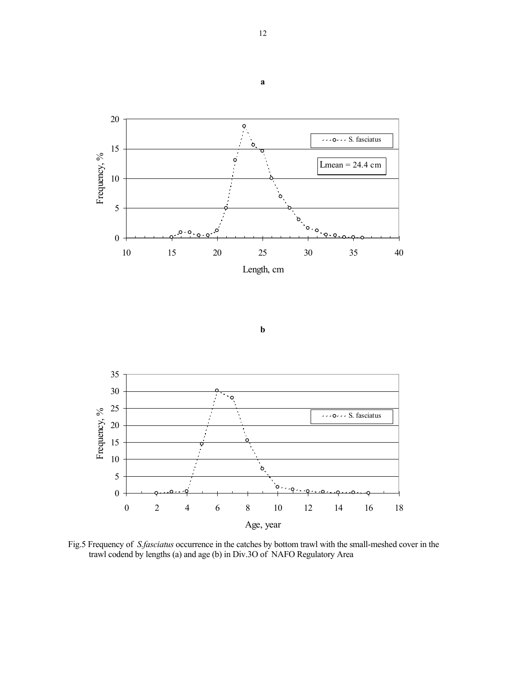





Fig.5 Frequency of *S.fasciatus* occurrence in the catches by bottom trawl with the small-meshed cover in the trawl codend by lengths (a) and age (b) in Div.3O of NAFO Regulatory Area

**а**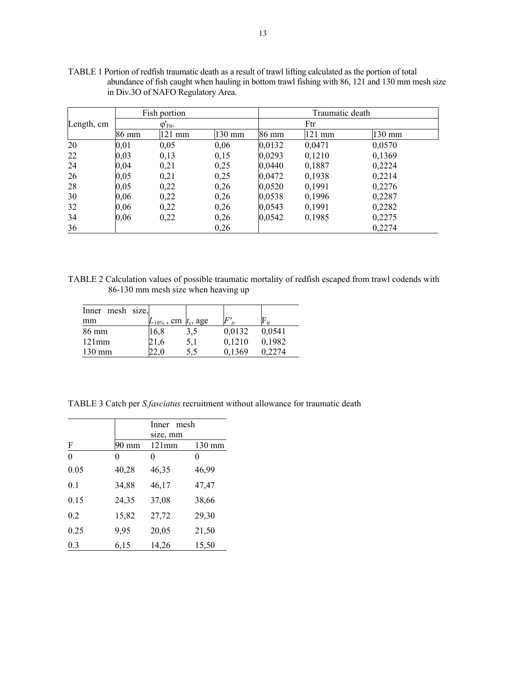|            | Fish portion              |        |        |        | Traumatic death |        |  |
|------------|---------------------------|--------|--------|--------|-----------------|--------|--|
| Length, cm | $\varphi'_{\text{Ftr}}$ . |        |        | Ftr    |                 |        |  |
|            | 86 mm                     | 121 mm | 130 mm | 86 mm  | $121$ mm        | 130 mm |  |
| 20         | 0,01                      | 0,05   | 0,06   | 0,0132 | 0,0471          | 0,0570 |  |
| 22         | 0,03                      | 0,13   | 0,15   | 0,0293 | 0,1210          | 0,1369 |  |
| 24         | 0,04                      | 0,21   | 0,25   | 0,0440 | 0,1887          | 0,2224 |  |
| 26         | 0,05                      | 0,21   | 0,25   | 0,0472 | 0,1938          | 0,2214 |  |
| 28         | 0,05                      | 0,22   | 0,26   | 0,0520 | 0,1991          | 0,2276 |  |
| 30         | 0,06                      | 0,22   | 0,26   | 0,0538 | 0,1996          | 0,2287 |  |
| 32         | 0,06                      | 0,22   | 0,26   | 0,0543 | 0,1991          | 0,2282 |  |
| 34         | 0,06                      | 0,22   | 0,26   | 0,0542 | 0,1985          | 0,2275 |  |
| 36         |                           |        | 0,26   |        |                 | 0,2274 |  |

TABLE 1 Portion of redfish traumatic death as a result of trawl lifting calculated as the portion of total abundance of fish caught when hauling in bottom trawl fishing with 86, 121 and 130 mm mesh size in Div.3O of NAFO Regulatory Area.

TABLE 2 Calculation values of possible traumatic mortality of redfish escaped from trawl codends with 86-130 mm mesh size when heaving up

| Inner mesh size, |                             |     |        |        |
|------------------|-----------------------------|-----|--------|--------|
| mm               | $L_{10\%}$ , cm $t_c$ , age |     | F'     | ŀ۳     |
| 86 mm            | 16,8                        | 3,5 | 0,0132 | 0,0541 |
| $121$ mm         | 21,6                        | 5,1 | 0,1210 | 0,1982 |
| $130 \text{ mm}$ |                             | 5.5 | 0.1369 |        |

TABLE 3 Catch per *S.fasciatus* recruitment without allowance for traumatic death

|          |                 | Inner mesh |        |  |
|----------|-----------------|------------|--------|--|
|          |                 | size, mm   |        |  |
| F        | $90 \text{ mm}$ | 121mm      | 130 mm |  |
| $\theta$ | 0               | 0          |        |  |
| 0.05     | 40,28           | 46,35      | 46,99  |  |
| 0.1      | 34,88           | 46,17      | 47,47  |  |
| 0.15     | 24,35           | 37,08      | 38,66  |  |
| 0.2      | 15,82           | 27,72      | 29,30  |  |
| 0.25     | 9,95            | 20,05      | 21,50  |  |
| 0.3      | 6,15            | 14,26      | 15,50  |  |